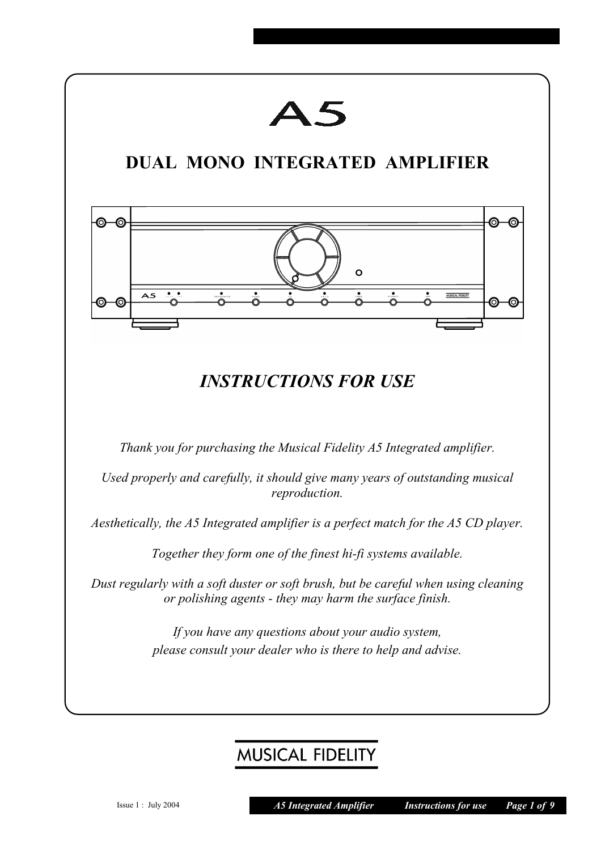

# **MUSICAL FIDELITY**

Issue 1 : July 2004 *A5 Integrated Amplifier Instructions for use Page 1 of 9*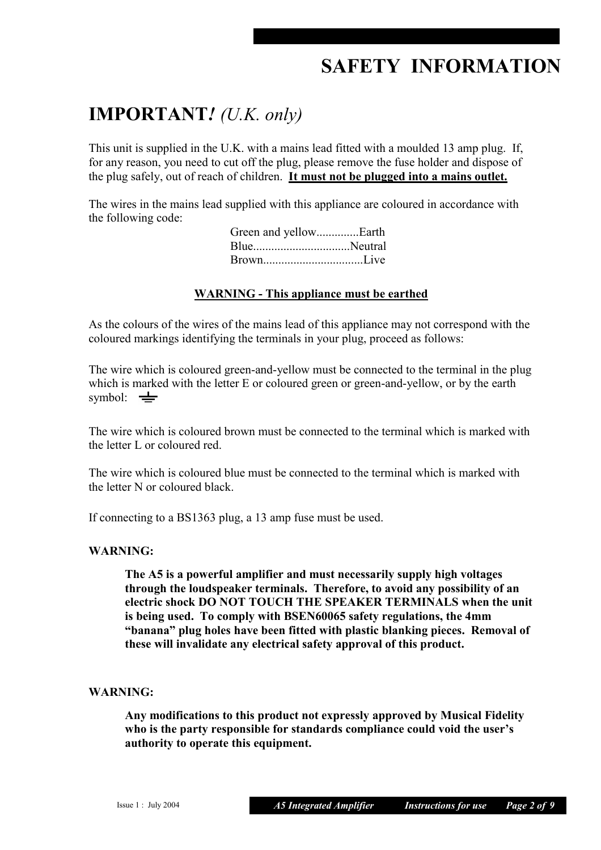# **SAFETY INFORMATION**

## **IMPORTANT***! (U.K. only)*

This unit is supplied in the U.K. with a mains lead fitted with a moulded 13 amp plug. If, for any reason, you need to cut off the plug, please remove the fuse holder and dispose of the plug safely, out of reach of children. **It must not be plugged into a mains outlet.**

The wires in the mains lead supplied with this appliance are coloured in accordance with the following code:

| Green and yellowEarth |  |
|-----------------------|--|
|                       |  |
| BrownLive             |  |

#### **WARNING - This appliance must be earthed**

As the colours of the wires of the mains lead of this appliance may not correspond with the coloured markings identifying the terminals in your plug, proceed as follows:

The wire which is coloured green-and-yellow must be connected to the terminal in the plug which is marked with the letter E or coloured green or green-and-yellow, or by the earth symbol:  $\equiv$ 

The wire which is coloured brown must be connected to the terminal which is marked with the letter L or coloured red.

The wire which is coloured blue must be connected to the terminal which is marked with the letter N or coloured black.

If connecting to a BS1363 plug, a 13 amp fuse must be used.

#### **WARNING:**

**The A5 is a powerful amplifier and must necessarily supply high voltages through the loudspeaker terminals. Therefore, to avoid any possibility of an electric shock DO NOT TOUCH THE SPEAKER TERMINALS when the unit is being used. To comply with BSEN60065 safety regulations, the 4mm "banana" plug holes have been fitted with plastic blanking pieces. Removal of these will invalidate any electrical safety approval of this product.** 

#### **WARNING:**

**Any modifications to this product not expressly approved by Musical Fidelity who is the party responsible for standards compliance could void the user's authority to operate this equipment.**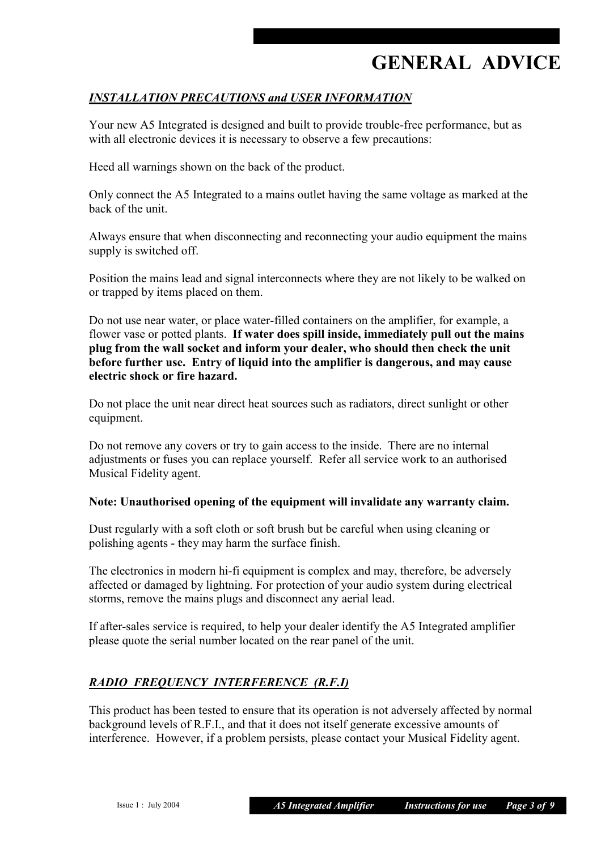# **GENERAL ADVICE**

### *INSTALLATION PRECAUTIONS and USER INFORMATION*

Your new A5 Integrated is designed and built to provide trouble-free performance, but as with all electronic devices it is necessary to observe a few precautions:

Heed all warnings shown on the back of the product.

Only connect the A5 Integrated to a mains outlet having the same voltage as marked at the back of the unit.

Always ensure that when disconnecting and reconnecting your audio equipment the mains supply is switched off.

Position the mains lead and signal interconnects where they are not likely to be walked on or trapped by items placed on them.

Do not use near water, or place water-filled containers on the amplifier, for example, a flower vase or potted plants. **If water does spill inside, immediately pull out the mains plug from the wall socket and inform your dealer, who should then check the unit before further use. Entry of liquid into the amplifier is dangerous, and may cause electric shock or fire hazard.** 

Do not place the unit near direct heat sources such as radiators, direct sunlight or other equipment.

Do not remove any covers or try to gain access to the inside. There are no internal adjustments or fuses you can replace yourself. Refer all service work to an authorised Musical Fidelity agent.

#### **Note: Unauthorised opening of the equipment will invalidate any warranty claim.**

Dust regularly with a soft cloth or soft brush but be careful when using cleaning or polishing agents - they may harm the surface finish.

The electronics in modern hi-fi equipment is complex and may, therefore, be adversely affected or damaged by lightning. For protection of your audio system during electrical storms, remove the mains plugs and disconnect any aerial lead.

If after-sales service is required, to help your dealer identify the A5 Integrated amplifier please quote the serial number located on the rear panel of the unit.

#### *RADIO FREQUENCY INTERFERENCE (R.F.I)*

This product has been tested to ensure that its operation is not adversely affected by normal background levels of R.F.I., and that it does not itself generate excessive amounts of interference. However, if a problem persists, please contact your Musical Fidelity agent.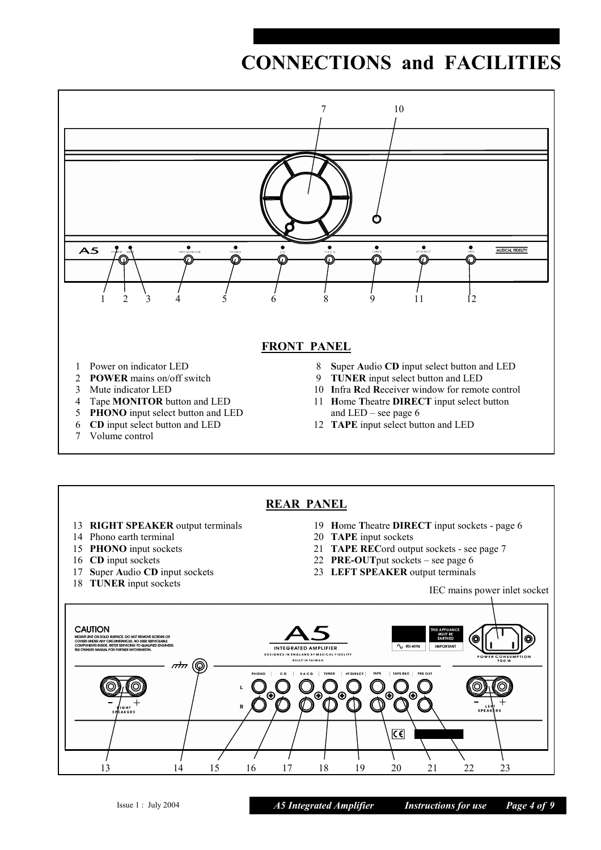# **CONNECTIONS and FACILITIES**





- **RIGHT SPEAKER** output terminals
- Phono earth terminal
- **PHONO** input sockets
- **CD** input sockets
- **S**uper **A**udio **CD** input sockets
- **TUNER** input sockets
- **H**ome **T**heatre **DIRECT** input sockets page 6
- **TAPE** input sockets
- **TAPE REC**ord output sockets see page 7
- **PRE-OUT**put sockets see page 6
- **LEFT SPEAKER** output terminals

#### IEC mains power inlet socket

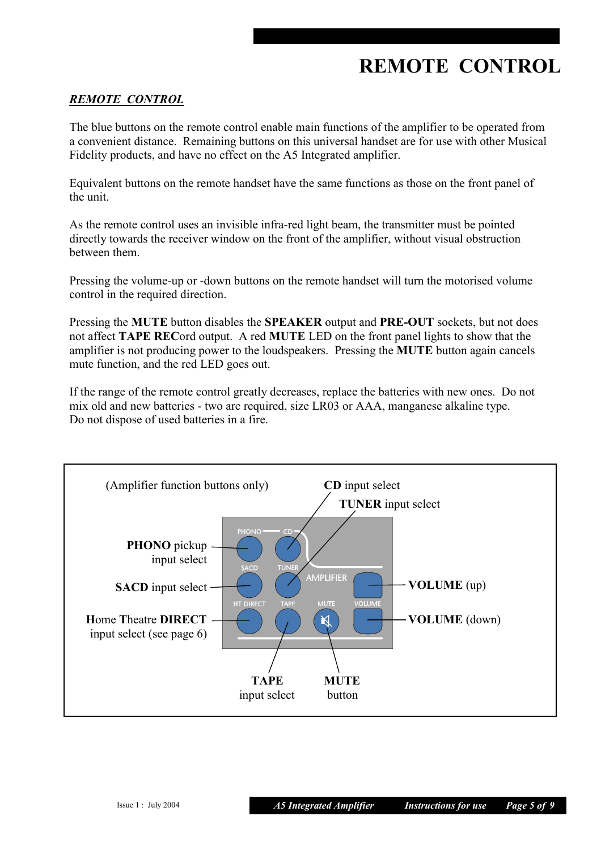# **REMOTE CONTROL**

#### *REMOTE CONTROL*

The blue buttons on the remote control enable main functions of the amplifier to be operated from a convenient distance. Remaining buttons on this universal handset are for use with other Musical Fidelity products, and have no effect on the A5 Integrated amplifier.

Equivalent buttons on the remote handset have the same functions as those on the front panel of the unit.

As the remote control uses an invisible infra-red light beam, the transmitter must be pointed directly towards the receiver window on the front of the amplifier, without visual obstruction between them.

Pressing the volume-up or -down buttons on the remote handset will turn the motorised volume control in the required direction.

Pressing the **MUTE** button disables the **SPEAKER** output and **PRE-OUT** sockets, but not does not affect **TAPE REC**ord output. A red **MUTE** LED on the front panel lights to show that the amplifier is not producing power to the loudspeakers. Pressing the **MUTE** button again cancels mute function, and the red LED goes out.

If the range of the remote control greatly decreases, replace the batteries with new ones. Do not mix old and new batteries - two are required, size LR03 or AAA, manganese alkaline type. Do not dispose of used batteries in a fire.

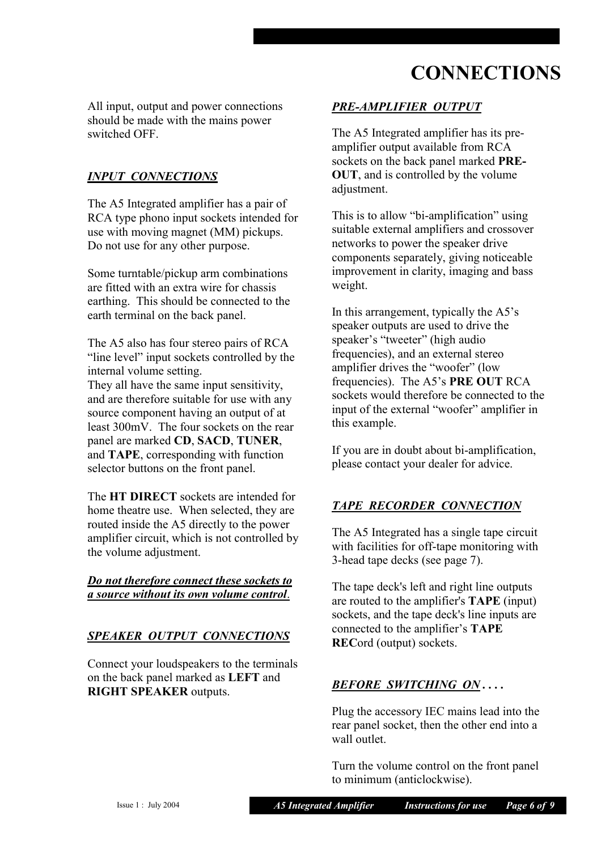# **CONNECTIONS**

All input, output and power connections should be made with the mains power switched OFF.

#### *INPUT CONNECTIONS*

The A5 Integrated amplifier has a pair of RCA type phono input sockets intended for use with moving magnet (MM) pickups. Do not use for any other purpose.

Some turntable/pickup arm combinations are fitted with an extra wire for chassis earthing. This should be connected to the earth terminal on the back panel.

The A5 also has four stereo pairs of RCA "line level" input sockets controlled by the internal volume setting.

They all have the same input sensitivity, and are therefore suitable for use with any source component having an output of at least 300mV. The four sockets on the rear panel are marked **CD**, **SACD**, **TUNER**, and **TAPE**, corresponding with function selector buttons on the front panel.

The **HT DIRECT** sockets are intended for home theatre use. When selected, they are routed inside the A5 directly to the power amplifier circuit, which is not controlled by the volume adjustment.

#### *Do not therefore connect these sockets to a source without its own volume control*.

#### *SPEAKER OUTPUT CONNECTIONS*

Connect your loudspeakers to the terminals on the back panel marked as **LEFT** and **RIGHT SPEAKER** outputs.

## *PRE-AMPLIFIER OUTPUT*

The A5 Integrated amplifier has its preamplifier output available from RCA sockets on the back panel marked **PRE-OUT**, and is controlled by the volume adjustment.

This is to allow "bi-amplification" using suitable external amplifiers and crossover networks to power the speaker drive components separately, giving noticeable improvement in clarity, imaging and bass weight.

In this arrangement, typically the A5's speaker outputs are used to drive the speaker's "tweeter" (high audio frequencies), and an external stereo amplifier drives the "woofer" (low frequencies). The A5's **PRE OUT** RCA sockets would therefore be connected to the input of the external "woofer" amplifier in this example.

If you are in doubt about bi-amplification, please contact your dealer for advice.

#### *TAPE RECORDER CONNECTION*

The A5 Integrated has a single tape circuit with facilities for off-tape monitoring with 3-head tape decks (see page 7).

The tape deck's left and right line outputs are routed to the amplifier's **TAPE** (input) sockets, and the tape deck's line inputs are connected to the amplifier's **TAPE REC**ord (output) sockets.

#### *BEFORE SWITCHING ON . . . .*

Plug the accessory IEC mains lead into the rear panel socket, then the other end into a wall outlet.

Turn the volume control on the front panel to minimum (anticlockwise).

Issue 1 : July 2004 *A5 Integrated Amplifier Instructions for use Page 6 of 9*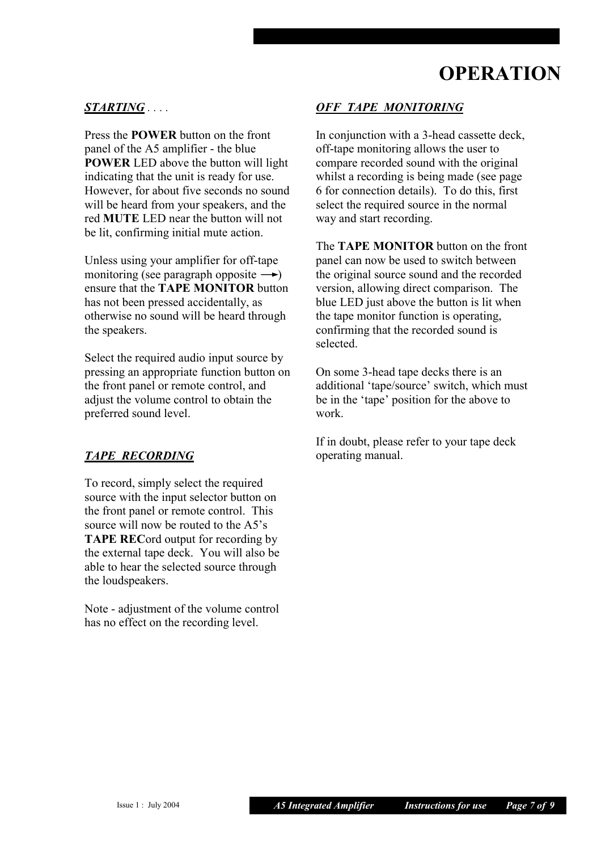# **OPERATION**

#### *STARTING . . . .*

Press the **POWER** button on the front panel of the A5 amplifier - the blue **POWER** LED above the button will light indicating that the unit is ready for use. However, for about five seconds no sound will be heard from your speakers, and the red **MUTE** LED near the button will not be lit, confirming initial mute action.

Unless using your amplifier for off-tape monitoring (see paragraph opposite  $\rightarrow$ ) ensure that the **TAPE MONITOR** button has not been pressed accidentally, as otherwise no sound will be heard through the speakers.

Select the required audio input source by pressing an appropriate function button on the front panel or remote control, and adjust the volume control to obtain the preferred sound level.

#### *TAPE RECORDING*

To record, simply select the required source with the input selector button on the front panel or remote control. This source will now be routed to the A5's **TAPE REC**ord output for recording by the external tape deck. You will also be able to hear the selected source through the loudspeakers.

Note - adjustment of the volume control has no effect on the recording level.

#### *OFF TAPE MONITORING*

In conjunction with a 3-head cassette deck, off-tape monitoring allows the user to compare recorded sound with the original whilst a recording is being made (see page 6 for connection details). To do this, first select the required source in the normal way and start recording.

The **TAPE MONITOR** button on the front panel can now be used to switch between the original source sound and the recorded version, allowing direct comparison. The blue LED just above the button is lit when the tape monitor function is operating, confirming that the recorded sound is selected.

On some 3-head tape decks there is an additional 'tape/source' switch, which must be in the 'tape' position for the above to work.

If in doubt, please refer to your tape deck operating manual.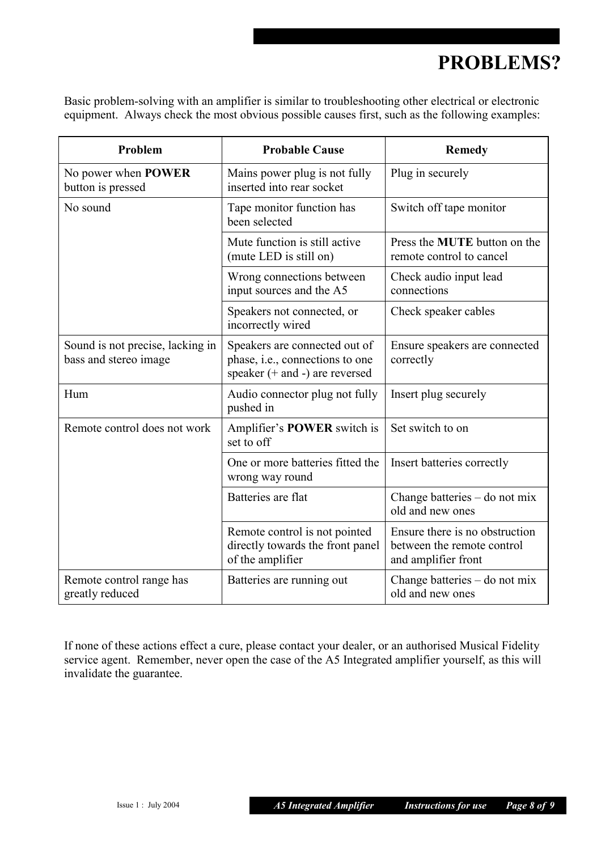# **PROBLEMS?**

Basic problem-solving with an amplifier is similar to troubleshooting other electrical or electronic equipment. Always check the most obvious possible causes first, such as the following examples:

| Problem                                                   | <b>Probable Cause</b>                                                                                   | <b>Remedy</b>                                                                       |
|-----------------------------------------------------------|---------------------------------------------------------------------------------------------------------|-------------------------------------------------------------------------------------|
| No power when <b>POWER</b><br>button is pressed           | Mains power plug is not fully<br>inserted into rear socket                                              | Plug in securely                                                                    |
| No sound                                                  | Tape monitor function has<br>been selected                                                              | Switch off tape monitor                                                             |
|                                                           | Mute function is still active<br>(mute LED is still on)                                                 | Press the <b>MUTE</b> button on the<br>remote control to cancel                     |
|                                                           | Wrong connections between<br>input sources and the A5                                                   | Check audio input lead<br>connections                                               |
|                                                           | Speakers not connected, or<br>incorrectly wired                                                         | Check speaker cables                                                                |
| Sound is not precise, lacking in<br>bass and stereo image | Speakers are connected out of<br>phase, i.e., connections to one<br>speaker $(+$ and $-$ ) are reversed | Ensure speakers are connected<br>correctly                                          |
| Hum                                                       | Audio connector plug not fully<br>pushed in                                                             | Insert plug securely                                                                |
| Remote control does not work                              | Amplifier's <b>POWER</b> switch is<br>set to off                                                        | Set switch to on                                                                    |
|                                                           | One or more batteries fitted the<br>wrong way round                                                     | Insert batteries correctly                                                          |
|                                                           | Batteries are flat                                                                                      | Change batteries - do not mix<br>old and new ones                                   |
|                                                           | Remote control is not pointed<br>directly towards the front panel<br>of the amplifier                   | Ensure there is no obstruction<br>between the remote control<br>and amplifier front |
| Remote control range has<br>greatly reduced               | Batteries are running out                                                                               | Change batteries – do not mix<br>old and new ones                                   |

If none of these actions effect a cure, please contact your dealer, or an authorised Musical Fidelity service agent. Remember, never open the case of the A5 Integrated amplifier yourself, as this will invalidate the guarantee.